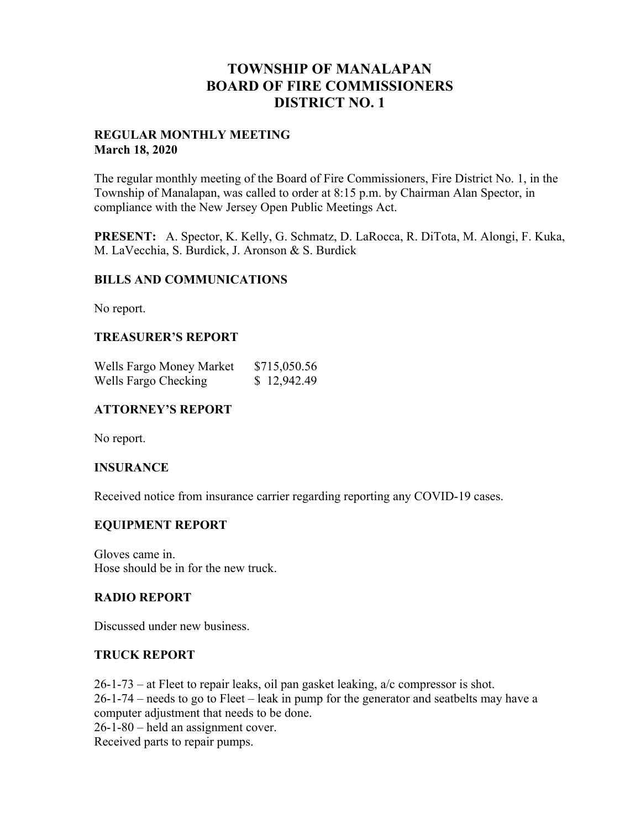# **TOWNSHIP OF MANALAPAN BOARD OF FIRE COMMISSIONERS DISTRICT NO. 1**

# **REGULAR MONTHLY MEETING March 18, 2020**

The regular monthly meeting of the Board of Fire Commissioners, Fire District No. 1, in the Township of Manalapan, was called to order at 8:15 p.m. by Chairman Alan Spector, in compliance with the New Jersey Open Public Meetings Act.

**PRESENT:** A. Spector, K. Kelly, G. Schmatz, D. LaRocca, R. DiTota, M. Alongi, F. Kuka, M. LaVecchia, S. Burdick, J. Aronson & S. Burdick

# **BILLS AND COMMUNICATIONS**

No report.

# **TREASURER'S REPORT**

| Wells Fargo Money Market | \$715,050.56 |
|--------------------------|--------------|
| Wells Fargo Checking     | \$12,942.49  |

# **ATTORNEY'S REPORT**

No report.

# **INSURANCE**

Received notice from insurance carrier regarding reporting any COVID-19 cases.

# **EQUIPMENT REPORT**

Gloves came in. Hose should be in for the new truck.

# **RADIO REPORT**

Discussed under new business.

# **TRUCK REPORT**

26-1-73 – at Fleet to repair leaks, oil pan gasket leaking, a/c compressor is shot. 26-1-74 – needs to go to Fleet – leak in pump for the generator and seatbelts may have a computer adjustment that needs to be done.

26-1-80 – held an assignment cover.

Received parts to repair pumps.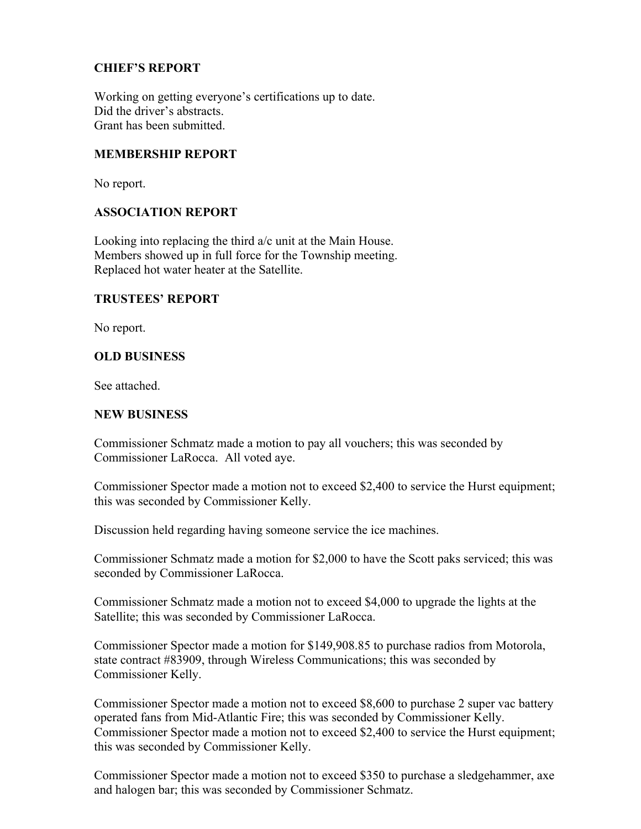# **CHIEF'S REPORT**

Working on getting everyone's certifications up to date. Did the driver's abstracts. Grant has been submitted.

# **MEMBERSHIP REPORT**

No report.

### **ASSOCIATION REPORT**

Looking into replacing the third a/c unit at the Main House. Members showed up in full force for the Township meeting. Replaced hot water heater at the Satellite.

#### **TRUSTEES' REPORT**

No report.

### **OLD BUSINESS**

See attached.

#### **NEW BUSINESS**

Commissioner Schmatz made a motion to pay all vouchers; this was seconded by Commissioner LaRocca. All voted aye.

Commissioner Spector made a motion not to exceed \$2,400 to service the Hurst equipment; this was seconded by Commissioner Kelly.

Discussion held regarding having someone service the ice machines.

Commissioner Schmatz made a motion for \$2,000 to have the Scott paks serviced; this was seconded by Commissioner LaRocca.

Commissioner Schmatz made a motion not to exceed \$4,000 to upgrade the lights at the Satellite; this was seconded by Commissioner LaRocca.

Commissioner Spector made a motion for \$149,908.85 to purchase radios from Motorola, state contract #83909, through Wireless Communications; this was seconded by Commissioner Kelly.

Commissioner Spector made a motion not to exceed \$8,600 to purchase 2 super vac battery operated fans from Mid-Atlantic Fire; this was seconded by Commissioner Kelly. Commissioner Spector made a motion not to exceed \$2,400 to service the Hurst equipment; this was seconded by Commissioner Kelly.

Commissioner Spector made a motion not to exceed \$350 to purchase a sledgehammer, axe and halogen bar; this was seconded by Commissioner Schmatz.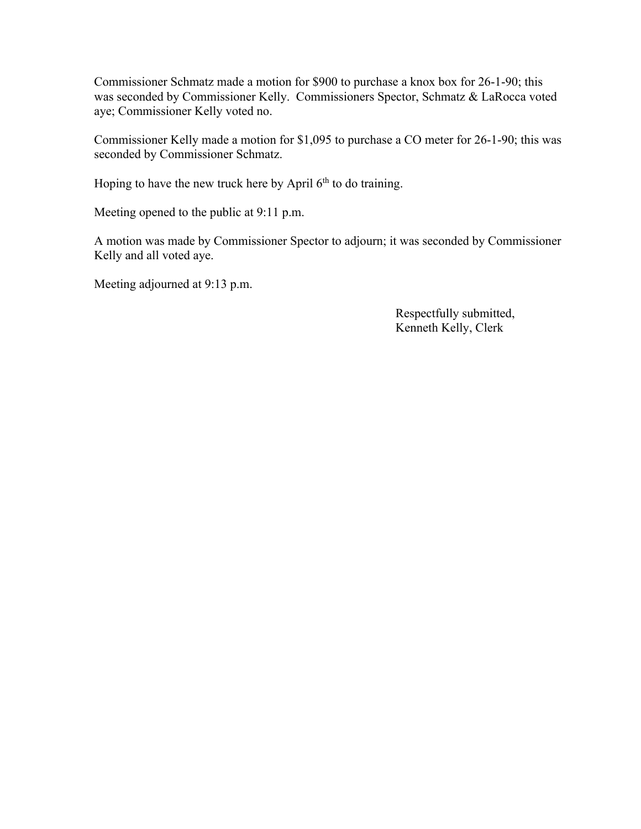Commissioner Schmatz made a motion for \$900 to purchase a knox box for 26-1-90; this was seconded by Commissioner Kelly. Commissioners Spector, Schmatz & LaRocca voted aye; Commissioner Kelly voted no.

Commissioner Kelly made a motion for \$1,095 to purchase a CO meter for 26-1-90; this was seconded by Commissioner Schmatz.

Hoping to have the new truck here by April  $6<sup>th</sup>$  to do training.

Meeting opened to the public at 9:11 p.m.

A motion was made by Commissioner Spector to adjourn; it was seconded by Commissioner Kelly and all voted aye.

Meeting adjourned at 9:13 p.m.

 Respectfully submitted, Kenneth Kelly, Clerk